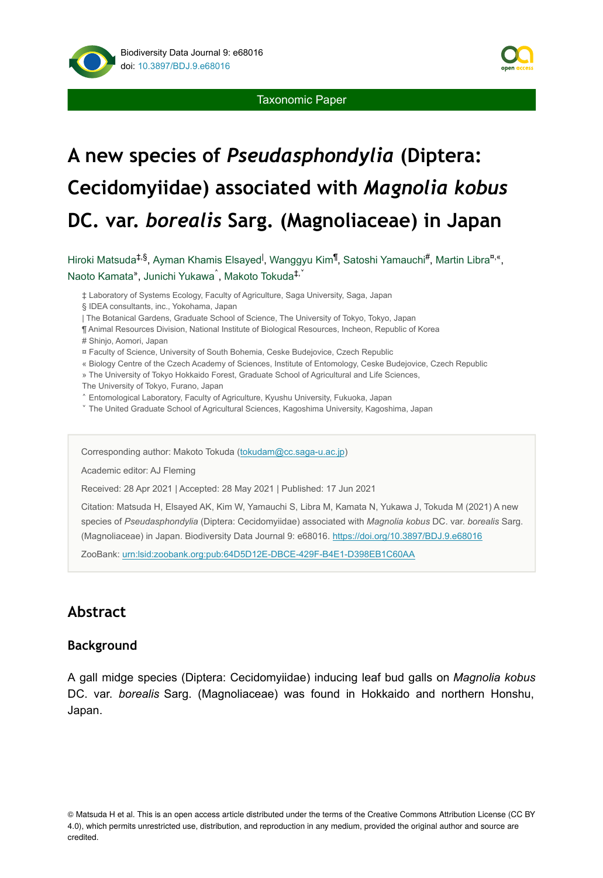

# **A new species of** *Pseudasphondylia* **(Diptera: Cecidomyiidae) associated with** *Magnolia kobus* **DC. var.** *borealis* **Sarg. (Magnoliaceae) in Japan**

Hiroki Matsuda<sup>‡,§</sup>, Ayman Khamis Elsayed<sup>I</sup>, Wanggyu Kim<sup>¶</sup>, Satoshi Yamauchi<sup>#</sup>, Martin Libra<sup>¤,«</sup>, Naoto Kamata", Junichi Yukawa<sup>^</sup>, Makoto Tokuda<sup>‡, `</sup>

‡ Laboratory of Systems Ecology, Faculty of Agriculture, Saga University, Saga, Japan

§ IDEA consultants, inc., Yokohama, Japan

| The Botanical Gardens, Graduate School of Science, The University of Tokyo, Tokyo, Japan

¶ Animal Resources Division, National Institute of Biological Resources, Incheon, Republic of Korea

# Shinjo, Aomori, Japan

¤ Faculty of Science, University of South Bohemia, Ceske Budejovice, Czech Republic

- « Biology Centre of the Czech Academy of Sciences, Institute of Entomology, Ceske Budejovice, Czech Republic
- » The University of Tokyo Hokkaido Forest, Graduate School of Agricultural and Life Sciences,

The University of Tokyo, Furano, Japan

˄ Entomological Laboratory, Faculty of Agriculture, Kyushu University, Fukuoka, Japan

˅ The United Graduate School of Agricultural Sciences, Kagoshima University, Kagoshima, Japan

Corresponding author: Makoto Tokuda [\(tokudam@cc.saga-u.ac.jp](mailto:tokudam@cc.saga-u.ac.jp))

Academic editor: AJ Fleming

Received: 28 Apr 2021 | Accepted: 28 May 2021 | Published: 17 Jun 2021

Citation: Matsuda H, Elsayed AK, Kim W, Yamauchi S, Libra M, Kamata N, Yukawa J, Tokuda M (2021) A new species of *Pseudasphondylia* (Diptera: Cecidomyiidae) associated with *Magnolia kobus* DC. var. *borealis* Sarg. (Magnoliaceae) in Japan. Biodiversity Data Journal 9: e68016. <https://doi.org/10.3897/BDJ.9.e68016>

ZooBank: [urn:lsid:zoobank.org:pub:64D5D12E-DBCE-429F-B4E1-D398EB1C60AA](http://zoobank.org/64D5D12E-DBCE-429F-B4E1-D398EB1C60AA)

# **Abstract**

#### **Background**

A gall midge species (Diptera: Cecidomyiidae) inducing leaf bud galls on *Magnolia kobus* DC. var. *borealis* Sarg. (Magnoliaceae) was found in Hokkaido and northern Honshu, Japan.

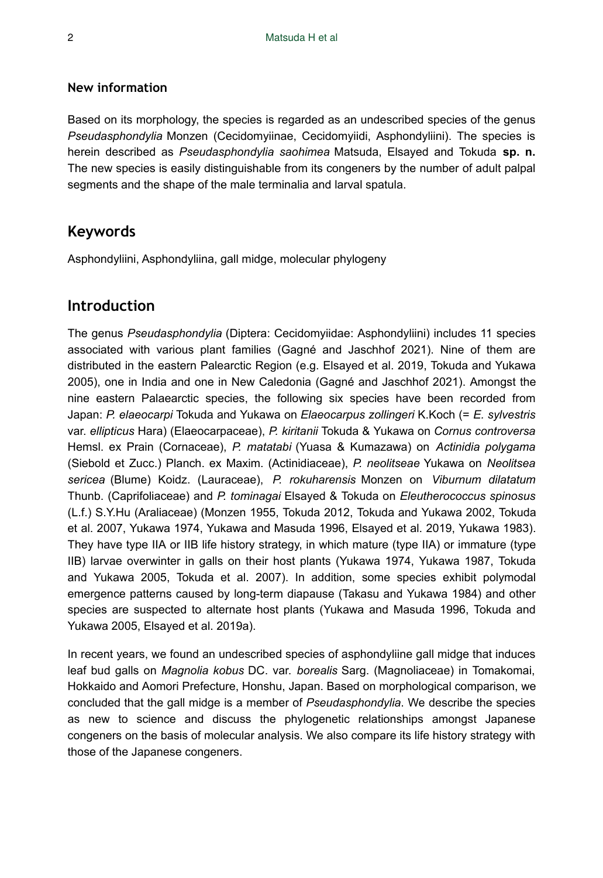### **New information**

Based on its morphology, the species is regarded as an undescribed species of the genus *Pseudasphondylia* Monzen (Cecidomyiinae, Cecidomyiidi, Asphondyliini). The species is herein described as *Pseudasphondylia saohimea* Matsuda, Elsayed and Tokuda **sp. n.** The new species is easily distinguishable from its congeners by the number of adult palpal segments and the shape of the male terminalia and larval spatula.

# **Keywords**

Asphondyliini, Asphondyliina, gall midge, molecular phylogeny

# **Introduction**

The genus *Pseudasphondylia* (Diptera: Cecidomyiidae: Asphondyliini) includes 11 species associated with various plant families (Gagné and Jaschhof 2021). Nine of them are distributed in the eastern Palearctic Region (e.g. Elsayed et al. 2019, Tokuda and Yukawa 2005), one in India and one in New Caledonia (Gagné and Jaschhof 2021). Amongst the nine eastern Palaearctic species, the following six species have been recorded from Japan: *P. elaeocarpi* Tokuda and Yukawa on *Elaeocarpus zollingeri* K.Koch (= *E. sylvestris* var. *ellipticus* Hara) (Elaeocarpaceae), *P. kiritanii* Tokuda & Yukawa on *Cornus controversa* Hemsl. ex Prain (Cornaceae), *P. matatabi* (Yuasa & Kumazawa) on *Actinidia polygama* (Siebold et Zucc.) Planch. ex Maxim. (Actinidiaceae), *P. neolitseae* Yukawa on *Neolitsea sericea* (Blume) Koidz. (Lauraceae), *P. rokuharensis* Monzen on *Viburnum dilatatum* Thunb. (Caprifoliaceae) and *P. tominagai* Elsayed & Tokuda on *Eleutherococcus spinosus* (L.f.) S.Y.Hu (Araliaceae) (Monzen 1955, Tokuda 2012, Tokuda and Yukawa 2002, Tokuda et al. 2007, Yukawa 1974, Yukawa and Masuda 1996, Elsayed et al. 2019, Yukawa 1983). They have type IIA or IIB life history strategy, in which mature (type IIA) or immature (type IIB) larvae overwinter in galls on their host plants (Yukawa 1974, Yukawa 1987, Tokuda and Yukawa 2005, Tokuda et al. 2007). In addition, some species exhibit polymodal emergence patterns caused by long-term diapause (Takasu and Yukawa 1984) and other species are suspected to alternate host plants (Yukawa and Masuda 1996, Tokuda and Yukawa 2005, Elsayed et al. 2019a).

In recent years, we found an undescribed species of asphondyliine gall midge that induces leaf bud galls on *Magnolia kobus* DC. var. *borealis* Sarg. (Magnoliaceae) in Tomakomai, Hokkaido and Aomori Prefecture, Honshu, Japan. Based on morphological comparison, we concluded that the gall midge is a member of *Pseudasphondylia*. We describe the species as new to science and discuss the phylogenetic relationships amongst Japanese congeners on the basis of molecular analysis. We also compare its life history strategy with those of the Japanese congeners.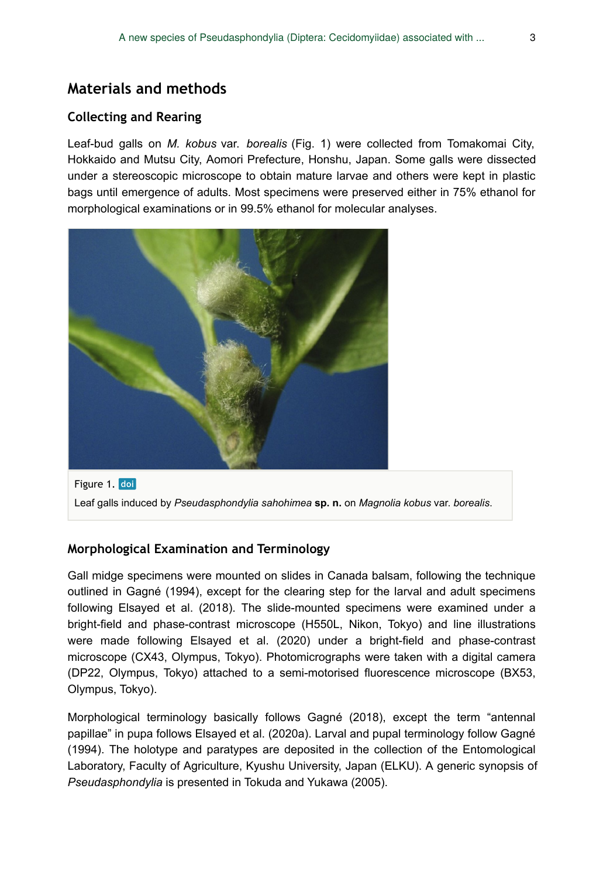# **Materials and methods**

## **Collecting and Rearing**

Leaf-bud galls on *M. kobus* var. *borealis* (Fig. 1) were collected from Tomakomai City, Hokkaido and Mutsu City, Aomori Prefecture, Honshu, Japan. Some galls were dissected under a stereoscopic microscope to obtain mature larvae and others were kept in plastic bags until emergence of adults. Most specimens were preserved either in 75% ethanol for morphological examinations or in 99.5% ethanol for molecular analyses.



Figure 1. doi Leaf galls induced by *Pseudasphondylia sahohimea* **sp. n.** on *Magnolia kobus* var. *borealis*.

## **Morphological Examination and Terminology**

Gall midge specimens were mounted on slides in Canada balsam, following the technique outlined in Gagné (1994), except for the clearing step for the larval and adult specimens following Elsayed et al. (2018). The slide-mounted specimens were examined under a bright-field and phase-contrast microscope (H550L, Nikon, Tokyo) and line illustrations were made following Elsayed et al. (2020) under a bright-field and phase-contrast microscope (CX43, Olympus, Tokyo). Photomicrographs were taken with a digital camera (DP22, Olympus, Tokyo) attached to a semi-motorised fluorescence microscope (BX53, Olympus, Tokyo).

Morphological terminology basically follows Gagné (2018), except the term "antennal papillae" in pupa follows Elsayed et al. (2020a). Larval and pupal terminology follow Gagné (1994). The holotype and paratypes are deposited in the collection of the Entomological Laboratory, Faculty of Agriculture, Kyushu University, Japan (ELKU). A generic synopsis of *Pseudasphondylia* is presented in Tokuda and Yukawa (2005).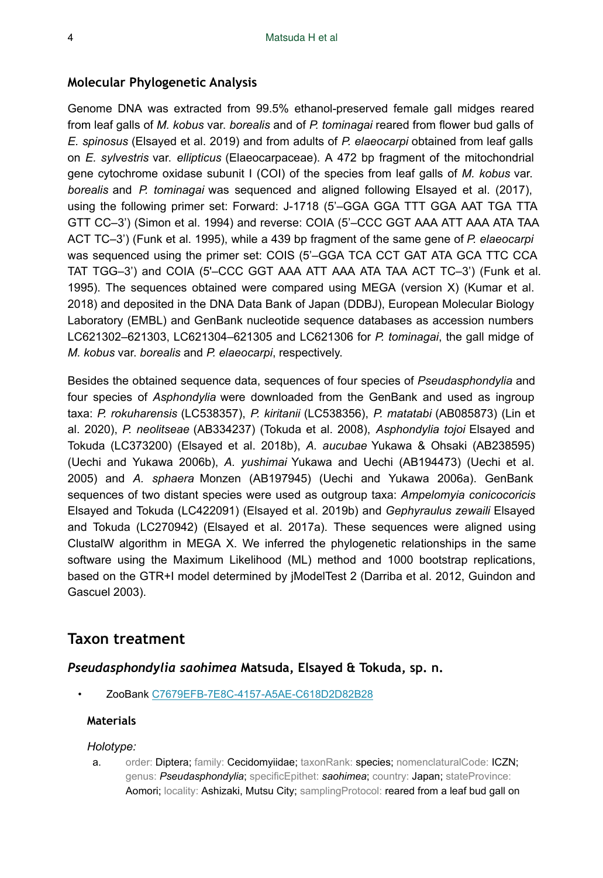#### **Molecular Phylogenetic Analysis**

Genome DNA was extracted from 99.5% ethanol-preserved female gall midges reared from leaf galls of *M. kobus* var. *borealis* and of *P. tominagai* reared from flower bud galls of *E. spinosus* (Elsayed et al. 2019) and from adults of *P. elaeocarpi* obtained from leaf galls on *E. sylvestris* var. *ellipticus* (Elaeocarpaceae). A 472 bp fragment of the mitochondrial gene cytochrome oxidase subunit I (COI) of the species from leaf galls of *M. kobus* var. *borealis* and *P. tominagai* was sequenced and aligned following Elsayed et al. (2017), using the following primer set: Forward: J-1718 (5'–GGA GGA TTT GGA AAT TGA TTA GTT CC–3') (Simon et al. 1994) and reverse: COIA (5'–CCC GGT AAA ATT AAA ATA TAA ACT TC–3') (Funk et al. 1995), while a 439 bp fragment of the same gene of *P. elaeocarpi* was sequenced using the primer set: COIS (5'–GGA TCA CCT GAT ATA GCA TTC CCA TAT TGG–3') and COIA (5'–CCC GGT AAA ATT AAA ATA TAA ACT TC–3') (Funk et al. 1995). The sequences obtained were compared using MEGA (version X) (Kumar et al. 2018) and deposited in the DNA Data Bank of Japan (DDBJ), European Molecular Biology Laboratory (EMBL) and GenBank nucleotide sequence databases as accession numbers LC621302–621303, LC621304–621305 and LC621306 for *P. tominagai*, the gall midge of *M. kobus* var. *borealis* and *P. elaeocarpi*, respectively.

Besides the obtained sequence data, sequences of four species of *Pseudasphondylia* and four species of *Asphondylia* were downloaded from the GenBank and used as ingroup taxa: *P. rokuharensis* (LC538357), *P. kiritanii* (LC538356), *P. matatabi* (AB085873) (Lin et al. 2020), *P. neolitseae* (AB334237) (Tokuda et al. 2008), *Asphondylia tojoi* Elsayed and Tokuda (LC373200) (Elsayed et al. 2018b), *A. aucubae* Yukawa & Ohsaki (AB238595) (Uechi and Yukawa 2006b), *A. yushimai* Yukawa and Uechi (AB194473) (Uechi et al. 2005) and *A. sphaera* Monzen (AB197945) (Uechi and Yukawa 2006a). GenBank sequences of two distant species were used as outgroup taxa: *Ampelomyia conicocoricis* Elsayed and Tokuda (LC422091) (Elsayed et al. 2019b) and *Gephyraulus zewaili* Elsayed and Tokuda (LC270942) (Elsayed et al. 2017a). These sequences were aligned using ClustalW algorithm in MEGA X. We inferred the phylogenetic relationships in the same software using the Maximum Likelihood (ML) method and 1000 bootstrap replications, based on the GTR+I model determined by jModelTest 2 (Darriba et al. 2012, Guindon and Gascuel 2003).

## **Taxon treatment**

#### *Pseudasphondylia saohimea* **Matsuda, Elsayed & Tokuda, sp. n.**

• ZooBank [C7679EFB-7E8C-4157-A5AE-C618D2D82B28](http://zoobank.org/C7679EFB-7E8C-4157-A5AE-C618D2D82B28)

#### **Materials**

#### *Holotype:*

a. order: Diptera; family: Cecidomyiidae; taxonRank: species; nomenclaturalCode: ICZN; genus: *Pseudasphondylia*; specificEpithet: *saohimea*; country: Japan; stateProvince: Aomori; locality: Ashizaki, Mutsu City; samplingProtocol: reared from a leaf bud gall on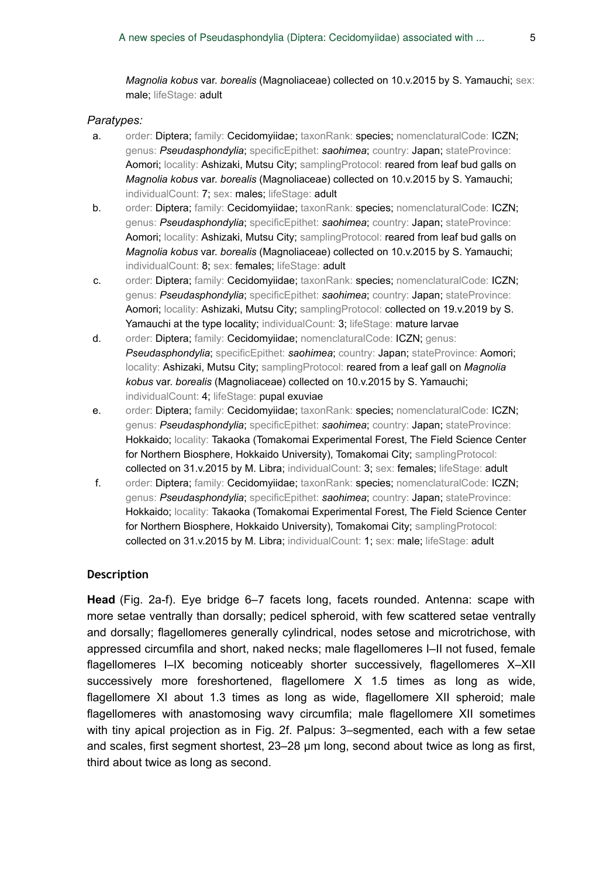*Magnolia kobus* var. *borealis* (Magnoliaceae) collected on 10.v.2015 by S. Yamauchi; sex: male; lifeStage: adult

#### *Paratypes:*

- a. order: Diptera; family: Cecidomyiidae; taxonRank: species; nomenclaturalCode: ICZN; genus: *Pseudasphondylia*; specificEpithet: *saohimea*; country: Japan; stateProvince: Aomori; locality: Ashizaki, Mutsu City; samplingProtocol: reared from leaf bud galls on *Magnolia kobus* var. *borealis* (Magnoliaceae) collected on 10.v.2015 by S. Yamauchi; individualCount: 7; sex: males; lifeStage: adult
- b. order: Diptera; family: Cecidomyiidae; taxonRank: species; nomenclaturalCode: ICZN; genus: *Pseudasphondylia*; specificEpithet: *saohimea*; country: Japan; stateProvince: Aomori; locality: Ashizaki, Mutsu City; samplingProtocol: reared from leaf bud galls on *Magnolia kobus* var. *borealis* (Magnoliaceae) collected on 10.v.2015 by S. Yamauchi; individualCount: 8; sex: females; lifeStage: adult
- c. order: Diptera; family: Cecidomyiidae; taxonRank: species; nomenclaturalCode: ICZN; genus: *Pseudasphondylia*; specificEpithet: *saohimea*; country: Japan; stateProvince: Aomori; locality: Ashizaki, Mutsu City; samplingProtocol: collected on 19.v.2019 by S. Yamauchi at the type locality; individualCount: 3; lifeStage: mature larvae
- d. order: Diptera; family: Cecidomyiidae; nomenclaturalCode: ICZN; genus: *Pseudasphondylia*; specificEpithet: *saohimea*; country: Japan; stateProvince: Aomori; locality: Ashizaki, Mutsu City; samplingProtocol: reared from a leaf gall on *Magnolia kobus* var. *borealis* (Magnoliaceae) collected on 10.v.2015 by S. Yamauchi; individualCount: 4; lifeStage: pupal exuviae
- e. order: Diptera; family: Cecidomyiidae; taxonRank: species; nomenclaturalCode: ICZN; genus: *Pseudasphondylia*; specificEpithet: *saohimea*; country: Japan; stateProvince: Hokkaido; locality: Takaoka (Tomakomai Experimental Forest, The Field Science Center for Northern Biosphere, Hokkaido University), Tomakomai City; samplingProtocol: collected on 31.v.2015 by M. Libra; individualCount: 3; sex: females; lifeStage: adult
- f. order: Diptera; family: Cecidomyiidae; taxonRank: species; nomenclaturalCode: ICZN; genus: *Pseudasphondylia*; specificEpithet: *saohimea*; country: Japan; stateProvince: Hokkaido; locality: Takaoka (Tomakomai Experimental Forest, The Field Science Center for Northern Biosphere, Hokkaido University), Tomakomai City; samplingProtocol: collected on 31.v.2015 by M. Libra; individualCount: 1; sex: male; lifeStage: adult

#### **Description**

**Head** (Fig. 2a-f). Eye bridge 6–7 facets long, facets rounded. Antenna: scape with more setae ventrally than dorsally; pedicel spheroid, with few scattered setae ventrally and dorsally; flagellomeres generally cylindrical, nodes setose and microtrichose, with appressed circumfila and short, naked necks; male flagellomeres I–II not fused, female flagellomeres I–IX becoming noticeably shorter successively, flagellomeres X–XII successively more foreshortened, flagellomere X 1.5 times as long as wide, flagellomere XI about 1.3 times as long as wide, flagellomere XII spheroid; male flagellomeres with anastomosing wavy circumfila; male flagellomere XII sometimes with tiny apical projection as in Fig. 2f. Palpus: 3–segmented, each with a few setae and scales, first segment shortest, 23–28 μm long, second about twice as long as first, third about twice as long as second.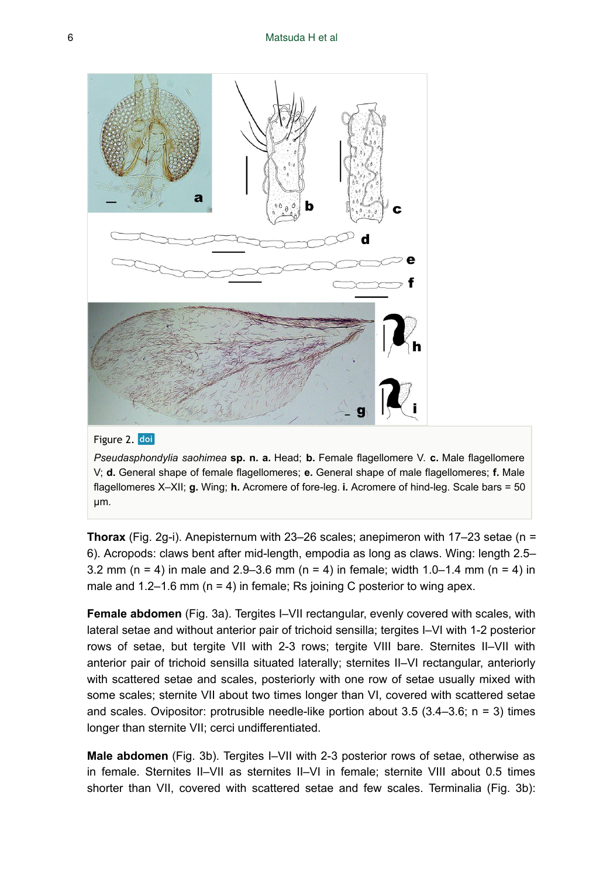

#### Figure 2. doi

*Pseudasphondylia saohimea* **sp. n. a.** Head; **b.** Female flagellomere V. **c.** Male flagellomere V; **d.** General shape of female flagellomeres; **e.** General shape of male flagellomeres; **f.** Male flagellomeres X–XII; **g.** Wing; **h.** Acromere of fore-leg. **i.** Acromere of hind-leg. Scale bars = 50 µm.

**Thorax** (Fig. 2g-i). Anepisternum with 23–26 scales; anepimeron with 17–23 setae (n = 6). Acropods: claws bent after mid-length, empodia as long as claws. Wing: length 2.5– 3.2 mm (n = 4) in male and 2.9–3.6 mm (n = 4) in female; width 1.0–1.4 mm (n = 4) in male and  $1.2-1.6$  mm ( $n = 4$ ) in female; Rs joining C posterior to wing apex.

**Female abdomen** (Fig. 3a). Tergites I–VII rectangular, evenly covered with scales, with lateral setae and without anterior pair of trichoid sensilla; tergites I–VI with 1-2 posterior rows of setae, but tergite VII with 2-3 rows; tergite VIII bare. Sternites II–VII with anterior pair of trichoid sensilla situated laterally; sternites II–VI rectangular, anteriorly with scattered setae and scales, posteriorly with one row of setae usually mixed with some scales; sternite VII about two times longer than VI, covered with scattered setae and scales. Ovipositor: protrusible needle-like portion about  $3.5$   $(3.4-3.6; n = 3)$  times longer than sternite VII; cerci undifferentiated.

**Male abdomen** (Fig. 3b). Tergites I–VII with 2-3 posterior rows of setae, otherwise as in female. Sternites II–VII as sternites II–VI in female; sternite VIII about 0.5 times shorter than VII, covered with scattered setae and few scales. Terminalia (Fig. 3b):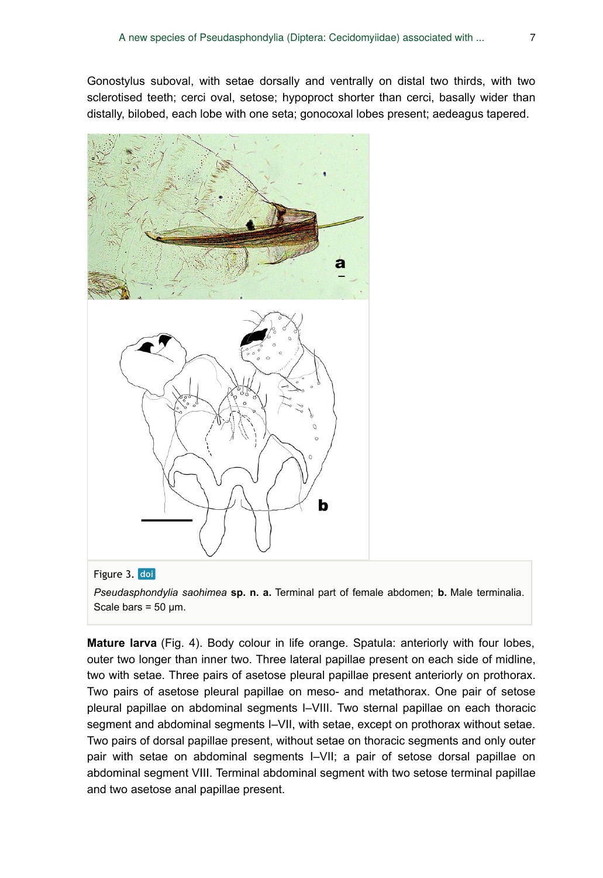Gonostylus suboval, with setae dorsally and ventrally on distal two thirds, with two sclerotised teeth; cerci oval, setose; hypoproct shorter than cerci, basally wider than distally, bilobed, each lobe with one seta; gonocoxal lobes present; aedeagus tapered.



#### Figure 3. doi

*Pseudasphondylia saohimea* **sp. n. a.** Terminal part of female abdomen; **b.** Male terminalia. Scale bars =  $50 \mu m$ .

**Mature larva** (Fig. 4). Body colour in life orange. Spatula: anteriorly with four lobes, outer two longer than inner two. Three lateral papillae present on each side of midline, two with setae. Three pairs of asetose pleural papillae present anteriorly on prothorax. Two pairs of asetose pleural papillae on meso- and metathorax. One pair of setose pleural papillae on abdominal segments I–VIII. Two sternal papillae on each thoracic segment and abdominal segments I–VII, with setae, except on prothorax without setae. Two pairs of dorsal papillae present, without setae on thoracic segments and only outer pair with setae on abdominal segments I–VII; a pair of setose dorsal papillae on abdominal segment VIII. Terminal abdominal segment with two setose terminal papillae and two asetose anal papillae present.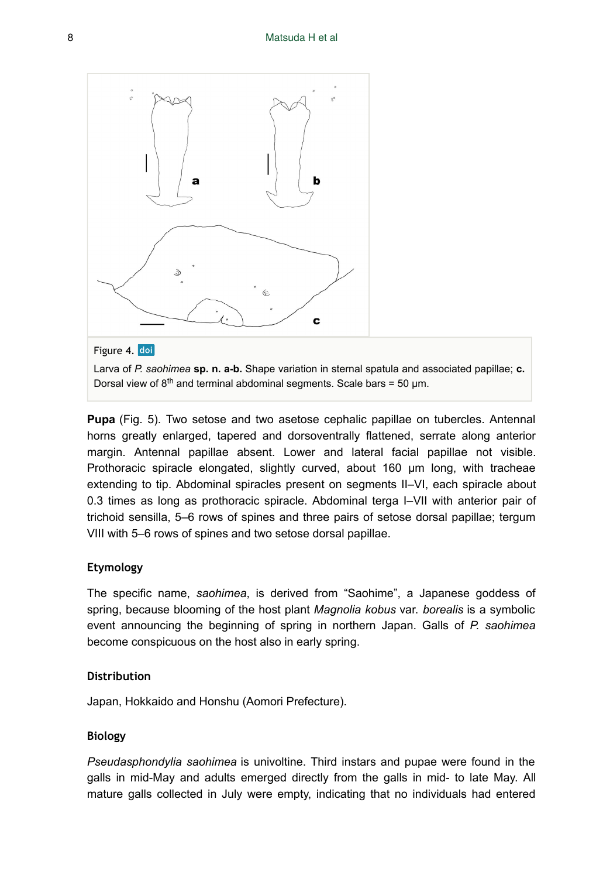

#### Figure 4. doi

Larva of *P. saohimea* **sp. n. a-b.** Shape variation in sternal spatula and associated papillae; **c.** Dorsal view of  $8<sup>th</sup>$  and terminal abdominal segments. Scale bars = 50 µm.

**Pupa** (Fig. 5). Two setose and two asetose cephalic papillae on tubercles. Antennal horns greatly enlarged, tapered and dorsoventrally flattened, serrate along anterior margin. Antennal papillae absent. Lower and lateral facial papillae not visible. Prothoracic spiracle elongated, slightly curved, about 160 μm long, with tracheae extending to tip. Abdominal spiracles present on segments II–VI, each spiracle about 0.3 times as long as prothoracic spiracle. Abdominal terga I–VII with anterior pair of trichoid sensilla, 5–6 rows of spines and three pairs of setose dorsal papillae; tergum VIII with 5–6 rows of spines and two setose dorsal papillae.

#### **Etymology**

The specific name, *saohimea*, is derived from "Saohime", a Japanese goddess of spring, because blooming of the host plant *Magnolia kobus* var. *borealis* is a symbolic event announcing the beginning of spring in northern Japan. Galls of *P. saohimea* become conspicuous on the host also in early spring.

#### **Distribution**

Japan, Hokkaido and Honshu (Aomori Prefecture).

#### **Biology**

*Pseudasphondylia saohimea* is univoltine. Third instars and pupae were found in the galls in mid-May and adults emerged directly from the galls in mid- to late May. All mature galls collected in July were empty, indicating that no individuals had entered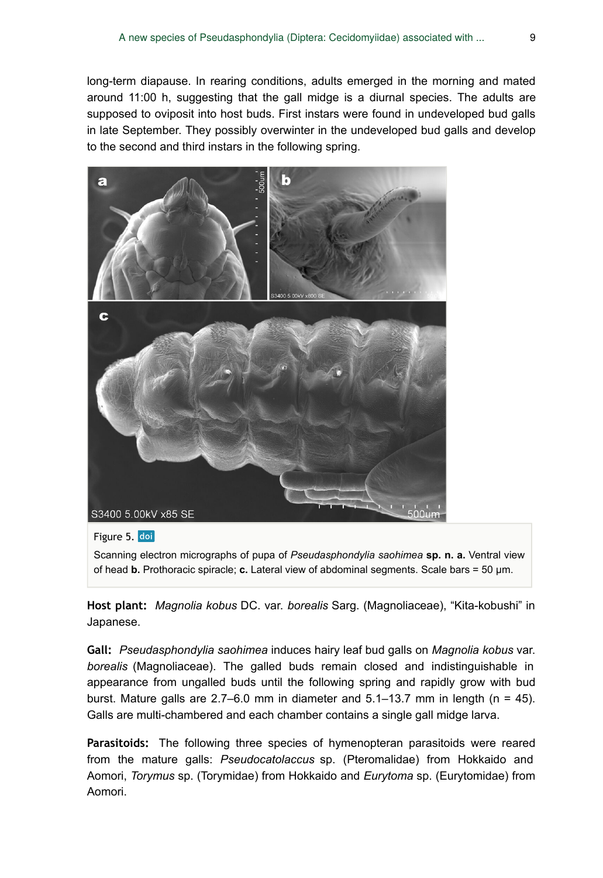long-term diapause. In rearing conditions, adults emerged in the morning and mated around 11:00 h, suggesting that the gall midge is a diurnal species. The adults are supposed to oviposit into host buds. First instars were found in undeveloped bud galls in late September. They possibly overwinter in the undeveloped bud galls and develop to the second and third instars in the following spring.



Figure 5. doi

Scanning electron micrographs of pupa of *Pseudasphondylia saohimea* **sp. n. a.** Ventral view of head **b.** Prothoracic spiracle; **c.** Lateral view of abdominal segments. Scale bars = 50 µm.

**Host plant:** *Magnolia kobus* DC. var. *borealis* Sarg. (Magnoliaceae), "Kita-kobushi" in Japanese.

**Gall:** *Pseudasphondylia saohimea* induces hairy leaf bud galls on *Magnolia kobus* var. *borealis* (Magnoliaceae). The galled buds remain closed and indistinguishable in appearance from ungalled buds until the following spring and rapidly grow with bud burst. Mature galls are  $2.7-6.0$  mm in diameter and  $5.1-13.7$  mm in length (n = 45). Galls are multi-chambered and each chamber contains a single gall midge larva.

**Parasitoids:** The following three species of hymenopteran parasitoids were reared from the mature galls: *Pseudocatolaccus* sp. (Pteromalidae) from Hokkaido and Aomori, *Torymus* sp. (Torymidae) from Hokkaido and *Eurytoma* sp. (Eurytomidae) from Aomori.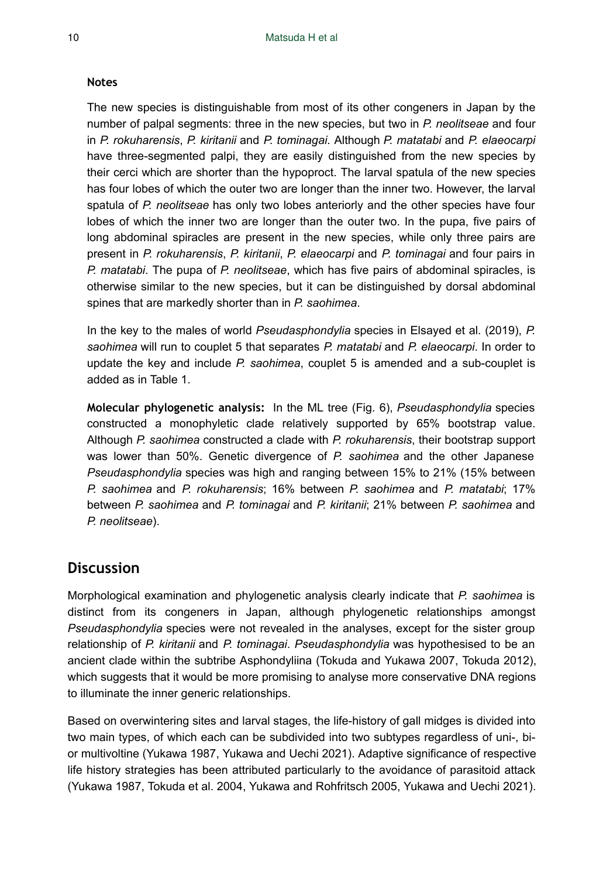#### **Notes**

The new species is distinguishable from most of its other congeners in Japan by the number of palpal segments: three in the new species, but two in *P. neolitseae* and four in *P. rokuharensis*, *P. kiritanii* and *P. tominagai*. Although *P. matatabi* and *P. elaeocarpi* have three-segmented palpi, they are easily distinguished from the new species by their cerci which are shorter than the hypoproct. The larval spatula of the new species has four lobes of which the outer two are longer than the inner two. However, the larval spatula of *P. neolitseae* has only two lobes anteriorly and the other species have four lobes of which the inner two are longer than the outer two. In the pupa, five pairs of long abdominal spiracles are present in the new species, while only three pairs are present in *P. rokuharensis*, *P. kiritanii*, *P. elaeocarpi* and *P. tominagai* and four pairs in *P. matatabi*. The pupa of *P. neolitseae*, which has five pairs of abdominal spiracles, is otherwise similar to the new species, but it can be distinguished by dorsal abdominal spines that are markedly shorter than in *P. saohimea*.

In the key to the males of world *Pseudasphondylia* species in Elsayed et al. (2019), *P. saohimea* will run to couplet 5 that separates *P. matatabi* and *P. elaeocarpi*. In order to update the key and include *P. saohimea*, couplet 5 is amended and a sub-couplet is added as in Table 1.

**Molecular phylogenetic analysis:** In the ML tree (Fig. 6), *Pseudasphondylia* species constructed a monophyletic clade relatively supported by 65% bootstrap value. Although *P. saohimea* constructed a clade with *P. rokuharensis*, their bootstrap support was lower than 50%. Genetic divergence of *P. saohimea* and the other Japanese *Pseudasphondylia* species was high and ranging between 15% to 21% (15% between *P. saohimea* and *P. rokuharensis*; 16% between *P. saohimea* and *P. matatabi*; 17% between *P. saohimea* and *P. tominagai* and *P. kiritanii*; 21% between *P. saohimea* and *P. neolitseae*).

## **Discussion**

Morphological examination and phylogenetic analysis clearly indicate that *P. saohimea* is distinct from its congeners in Japan, although phylogenetic relationships amongst *Pseudasphondylia* species were not revealed in the analyses, except for the sister group relationship of *P. kiritanii* and *P. tominagai*. *Pseudasphondylia* was hypothesised to be an ancient clade within the subtribe Asphondyliina (Tokuda and Yukawa 2007, Tokuda 2012), which suggests that it would be more promising to analyse more conservative DNA regions to illuminate the inner generic relationships.

Based on overwintering sites and larval stages, the life-history of gall midges is divided into two main types, of which each can be subdivided into two subtypes regardless of uni-, bior multivoltine (Yukawa 1987, Yukawa and Uechi 2021). Adaptive significance of respective life history strategies has been attributed particularly to the avoidance of parasitoid attack (Yukawa 1987, Tokuda et al. 2004, Yukawa and Rohfritsch 2005, Yukawa and Uechi 2021).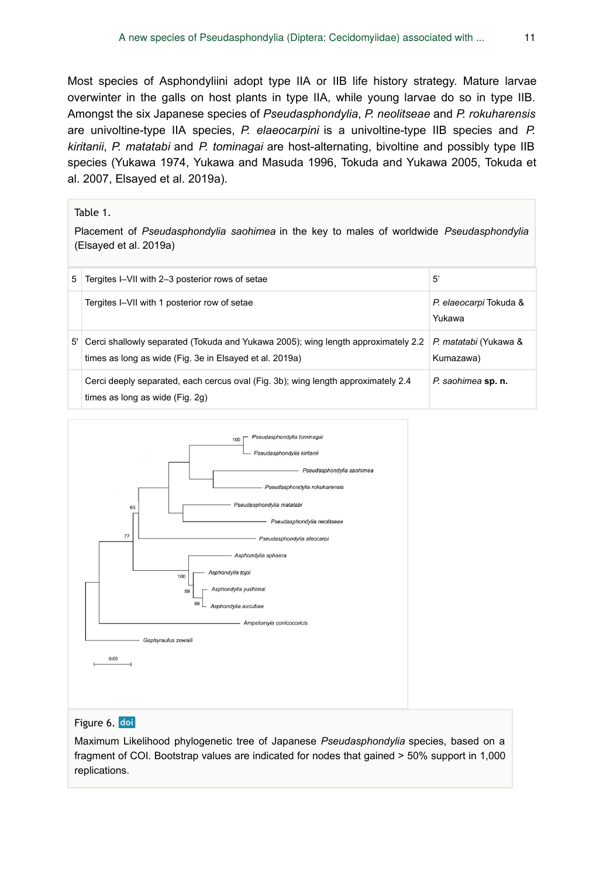Most species of Asphondyliini adopt type IIA or IIB life history strategy. Mature larvae overwinter in the galls on host plants in type IIA, while young larvae do so in type IIB. Amongst the six Japanese species of *Pseudasphondylia*, *P. neolitseae* and *P. rokuharensis* are univoltine-type IIA species, *P. elaeocarpini* is a univoltine-type IIB species and *P. kiritanii*, *P. matatabi* and *P. tominagai* are host-alternating, bivoltine and possibly type IIB species (Yukawa 1974, Yukawa and Masuda 1996, Tokuda and Yukawa 2005, Tokuda et al. 2007, Elsayed et al. 2019a).

#### Table 1.

Placement of *Pseudasphondylia saohimea* in the key to males of worldwide *Pseudasphondylia* (Elsayed et al. 2019a)

| 5. | Tergites I–VII with 2–3 posterior rows of setae                                                                                              | 5                                  |
|----|----------------------------------------------------------------------------------------------------------------------------------------------|------------------------------------|
|    | Tergites I–VII with 1 posterior row of setae                                                                                                 | P. elaeocarpi Tokuda &<br>Yukawa   |
| 5' | Cerci shallowly separated (Tokuda and Yukawa 2005); wing length approximately 2.2<br>times as long as wide (Fig. 3e in Elsayed et al. 2019a) | P. matatabi (Yukawa &<br>Kumazawa) |
|    | Cerci deeply separated, each cercus oval (Fig. 3b); wing length approximately 2.4<br>times as long as wide (Fig. 2g)                         | P. saohimea sp. n.                 |



#### Figure 6. doi

Maximum Likelihood phylogenetic tree of Japanese *Pseudasphondylia* species, based on a fragment of COI. Bootstrap values are indicated for nodes that gained > 50% support in 1,000 replications.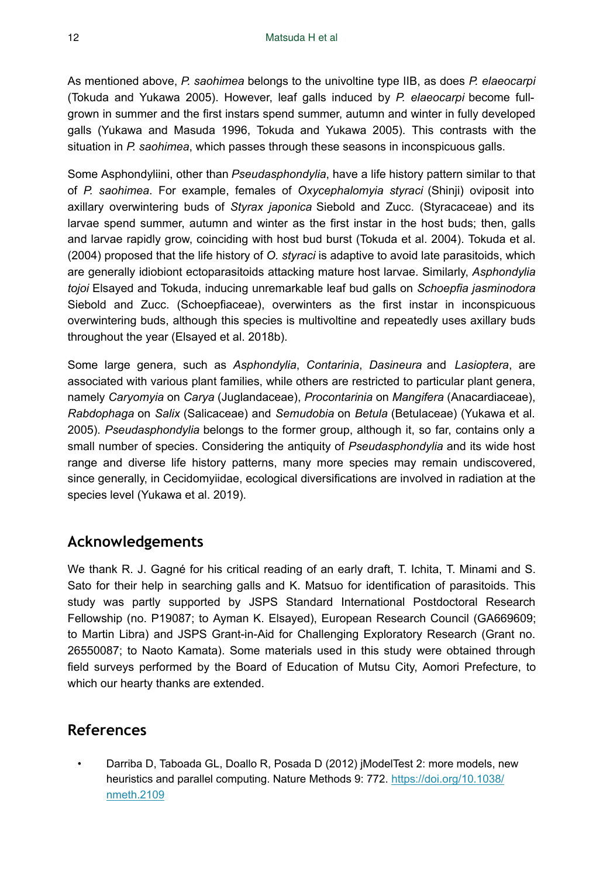As mentioned above, *P. saohimea* belongs to the univoltine type IIB, as does *P. elaeocarpi* (Tokuda and Yukawa 2005). However, leaf galls induced by *P. elaeocarpi* become fullgrown in summer and the first instars spend summer, autumn and winter in fully developed galls (Yukawa and Masuda 1996, Tokuda and Yukawa 2005). This contrasts with the situation in *P. saohimea*, which passes through these seasons in inconspicuous galls.

Some Asphondyliini, other than *Pseudasphondylia*, have a life history pattern similar to that of *P. saohimea*. For example, females of *Oxycephalomyia styraci* (Shinji) oviposit into axillary overwintering buds of *Styrax japonica* Siebold and Zucc. (Styracaceae) and its larvae spend summer, autumn and winter as the first instar in the host buds; then, galls and larvae rapidly grow, coinciding with host bud burst (Tokuda et al. 2004). Tokuda et al. (2004) proposed that the life history of *O. styraci* is adaptive to avoid late parasitoids, which are generally idiobiont ectoparasitoids attacking mature host larvae. Similarly, *Asphondylia tojoi* Elsayed and Tokuda, inducing unremarkable leaf bud galls on *Schoepfia jasminodora* Siebold and Zucc. (Schoepfiaceae), overwinters as the first instar in inconspicuous overwintering buds, although this species is multivoltine and repeatedly uses axillary buds throughout the year (Elsayed et al. 2018b).

Some large genera, such as *Asphondylia*, *Contarinia*, *Dasineura* and *Lasioptera*, are associated with various plant families, while others are restricted to particular plant genera, namely *Caryomyia* on *Carya* (Juglandaceae), *Procontarinia* on *Mangifera* (Anacardiaceae), *Rabdophaga* on *Salix* (Salicaceae) and *Semudobia* on *Betula* (Betulaceae) (Yukawa et al. 2005). *Pseudasphondylia* belongs to the former group, although it, so far, contains only a small number of species. Considering the antiquity of *Pseudasphondylia* and its wide host range and diverse life history patterns, many more species may remain undiscovered, since generally, in Cecidomyiidae, ecological diversifications are involved in radiation at the species level (Yukawa et al. 2019).

# **Acknowledgements**

We thank R. J. Gagné for his critical reading of an early draft, T. Ichita, T. Minami and S. Sato for their help in searching galls and K. Matsuo for identification of parasitoids. This study was partly supported by JSPS Standard International Postdoctoral Research Fellowship (no. P19087; to Ayman K. Elsayed), European Research Council (GA669609; to Martin Libra) and JSPS Grant-in-Aid for Challenging Exploratory Research (Grant no. 26550087; to Naoto Kamata). Some materials used in this study were obtained through field surveys performed by the Board of Education of Mutsu City, Aomori Prefecture, to which our hearty thanks are extended.

# **References**

• Darriba D, Taboada GL, Doallo R, Posada D (2012) jModelTest 2: more models, new heuristics and parallel computing. Nature Methods 9: 772. [https://doi.org/10.1038/](https://doi.org/10.1038/nmeth.2109) [nmeth.2109](https://doi.org/10.1038/nmeth.2109)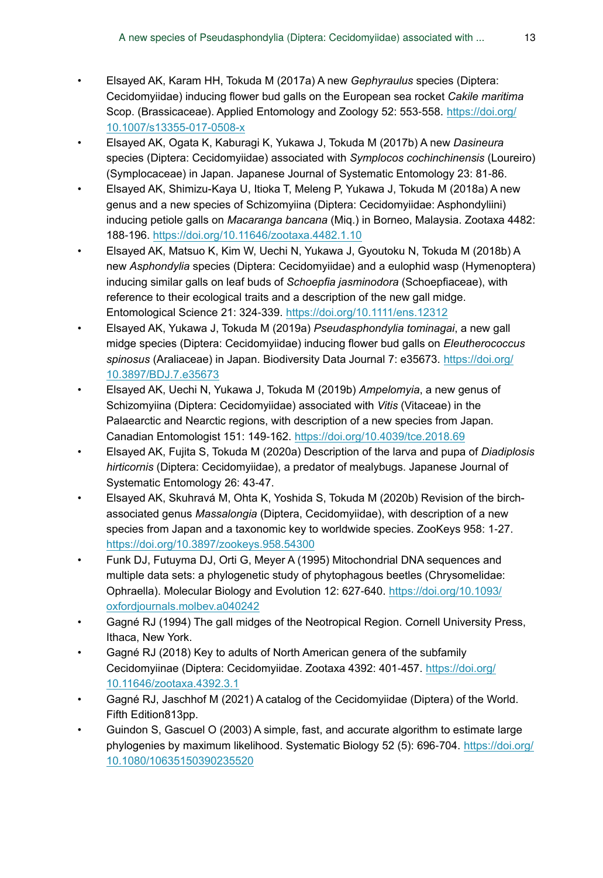- Elsayed AK, Karam HH, Tokuda M (2017a) A new *Gephyraulus* species (Diptera: Cecidomyiidae) inducing flower bud galls on the European sea rocket *Cakile maritima* Scop. (Brassicaceae). Applied Entomology and Zoology 52: 553-558. [https://doi.org/](https://doi.org/10.1007/s13355-017-0508-x) [10.1007/s13355-017-0508-x](https://doi.org/10.1007/s13355-017-0508-x)
- Elsayed AK, Ogata K, Kaburagi K, Yukawa J, Tokuda M (2017b) A new *Dasineura* species (Diptera: Cecidomyiidae) associated with *Symplocos cochinchinensis* (Loureiro) (Symplocaceae) in Japan. Japanese Journal of Systematic Entomology 23: 81‑86.
- Elsayed AK, Shimizu-Kaya U, Itioka T, Meleng P, Yukawa J, Tokuda M (2018a) A new genus and a new species of Schizomyiina (Diptera: Cecidomyiidae: Asphondyliini) inducing petiole galls on *Macaranga bancana* (Miq.) in Borneo, Malaysia. Zootaxa 4482: 188‑196. <https://doi.org/10.11646/zootaxa.4482.1.10>
- Elsayed AK, Matsuo K, Kim W, Uechi N, Yukawa J, Gyoutoku N, Tokuda M (2018b) A new *Asphondylia* species (Diptera: Cecidomyiidae) and a eulophid wasp (Hymenoptera) inducing similar galls on leaf buds of *Schoepfia jasminodora* (Schoepfiaceae), with reference to their ecological traits and a description of the new gall midge. Entomological Science 21: 324‑339. <https://doi.org/10.1111/ens.12312>
- Elsayed AK, Yukawa J, Tokuda M (2019a) *Pseudasphondylia tominagai*, a new gall midge species (Diptera: Cecidomyiidae) inducing flower bud galls on *Eleutherococcus spinosus* (Araliaceae) in Japan. Biodiversity Data Journal 7: e35673. [https://doi.org/](https://doi.org/10.3897/BDJ.7.e35673) [10.3897/BDJ.7.e35673](https://doi.org/10.3897/BDJ.7.e35673)
- Elsayed AK, Uechi N, Yukawa J, Tokuda M (2019b) *Ampelomyia*, a new genus of Schizomyiina (Diptera: Cecidomyiidae) associated with *Vitis* (Vitaceae) in the Palaearctic and Nearctic regions, with description of a new species from Japan. Canadian Entomologist 151: 149-162.<https://doi.org/10.4039/tce.2018.69>
- Elsayed AK, Fujita S, Tokuda M (2020a) Description of the larva and pupa of *Diadiplosis hirticornis* (Diptera: Cecidomyiidae), a predator of mealybugs. Japanese Journal of Systematic Entomology 26: 43‑47.
- Elsayed AK, Skuhravá M, Ohta K, Yoshida S, Tokuda M (2020b) Revision of the birchassociated genus *Massalongia* (Diptera, Cecidomyiidae), with description of a new species from Japan and a taxonomic key to worldwide species. ZooKeys 958: 1-27. <https://doi.org/10.3897/zookeys.958.54300>
- Funk DJ, Futuyma DJ, Orti G, Meyer A (1995) Mitochondrial DNA sequences and multiple data sets: a phylogenetic study of phytophagous beetles (Chrysomelidae: Ophraella). Molecular Biology and Evolution 12: 627‑640. [https://doi.org/10.1093/](https://doi.org/10.1093/oxfordjournals.molbev.a040242) [oxfordjournals.molbev.a040242](https://doi.org/10.1093/oxfordjournals.molbev.a040242)
- Gagné RJ (1994) The gall midges of the Neotropical Region. Cornell University Press, Ithaca, New York.
- Gagné RJ (2018) Key to adults of North American genera of the subfamily Cecidomyiinae (Diptera: Cecidomyiidae. Zootaxa 4392: 401-457. [https://doi.org/](https://doi.org/10.11646/zootaxa.4392.3.1) [10.11646/zootaxa.4392.3.1](https://doi.org/10.11646/zootaxa.4392.3.1)
- Gagné RJ, Jaschhof M (2021) A catalog of the Cecidomyiidae (Diptera) of the World. Fifth Edition813pp.
- Guindon S, Gascuel O (2003) A simple, fast, and accurate algorithm to estimate large phylogenies by maximum likelihood. Systematic Biology 52 (5): 696-704. [https://doi.org/](https://doi.org/10.1080/10635150390235520) [10.1080/10635150390235520](https://doi.org/10.1080/10635150390235520)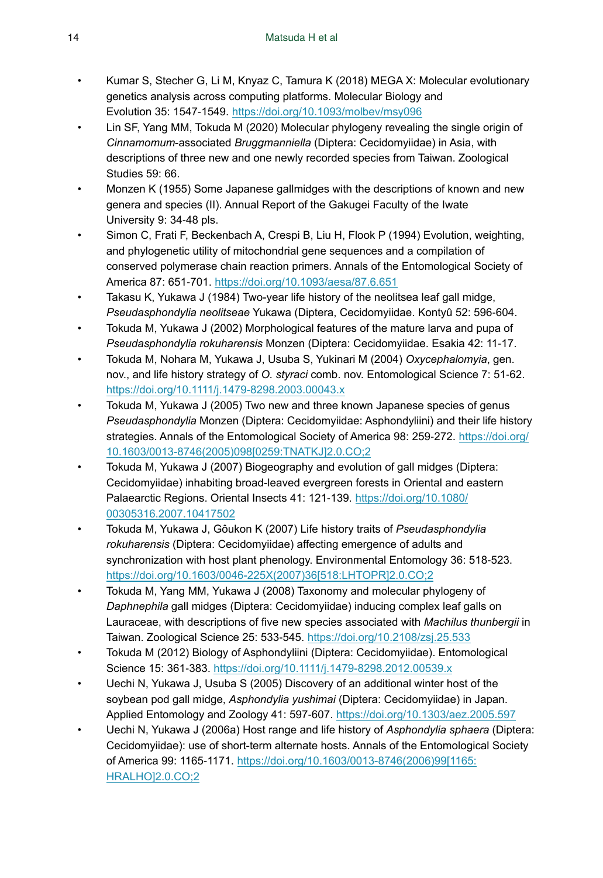- Kumar S, Stecher G, Li M, Knyaz C, Tamura K (2018) MEGA X: Molecular evolutionary genetics analysis across computing platforms. Molecular Biology and Evolution 35: 1547‑1549. <https://doi.org/10.1093/molbev/msy096>
- Lin SF, Yang MM, Tokuda M (2020) Molecular phylogeny revealing the single origin of *Cinnamomum*-associated *Bruggmanniella* (Diptera: Cecidomyiidae) in Asia, with descriptions of three new and one newly recorded species from Taiwan. Zoological Studies 59: 66.
- Monzen K (1955) Some Japanese gallmidges with the descriptions of known and new genera and species (II). Annual Report of the Gakugei Faculty of the Iwate University 9: 34‑48 pls.
- Simon C, Frati F, Beckenbach A, Crespi B, Liu H, Flook P (1994) Evolution, weighting, and phylogenetic utility of mitochondrial gene sequences and a compilation of conserved polymerase chain reaction primers. Annals of the Entomological Society of America 87: 651‑701. <https://doi.org/10.1093/aesa/87.6.651>
- Takasu K, Yukawa J (1984) Two-year life history of the neolitsea leaf gall midge, *Pseudasphondylia neolitseae* Yukawa (Diptera, Cecidomyiidae. Kontyû 52: 596‑604.
- Tokuda M, Yukawa J (2002) Morphological features of the mature larva and pupa of *Pseudasphondylia rokuharensis* Monzen (Diptera: Cecidomyiidae. Esakia 42: 11‑17.
- Tokuda M, Nohara M, Yukawa J, Usuba S, Yukinari M (2004) *Oxycephalomyia*, gen. nov., and life history strategy of *O. styraci* comb. nov. Entomological Science 7: 51‑62. <https://doi.org/10.1111/j.1479-8298.2003.00043.x>
- Tokuda M, Yukawa J (2005) Two new and three known Japanese species of genus *Pseudasphondylia* Monzen (Diptera: Cecidomyiidae: Asphondyliini) and their life history strategies. Annals of the Entomological Society of America 98: 259-272. [https://doi.org/](https://doi.org/10.1603/0013-8746(2005)098%5B0259:TNATKJ%5D2.0.CO;2) [10.1603/0013-8746\(2005\)098\[0259:TNATKJ\]2.0.CO;2](https://doi.org/10.1603/0013-8746(2005)098%5B0259:TNATKJ%5D2.0.CO;2)
- Tokuda M, Yukawa J (2007) Biogeography and evolution of gall midges (Diptera: Cecidomyiidae) inhabiting broad-leaved evergreen forests in Oriental and eastern Palaearctic Regions. Oriental Insects 41: 121-139. [https://doi.org/10.1080/](https://doi.org/10.1080/00305316.2007.10417502) [00305316.2007.10417502](https://doi.org/10.1080/00305316.2007.10417502)
- Tokuda M, Yukawa J, Gôukon K (2007) Life history traits of *Pseudasphondylia rokuharensis* (Diptera: Cecidomyiidae) affecting emergence of adults and synchronization with host plant phenology. Environmental Entomology 36: 518-523. [https://doi.org/10.1603/0046-225X\(2007\)36\[518:LHTOPR\]2.0.CO;2](https://doi.org/10.1603/0046-225X(2007)36%5B518:LHTOPR%5D2.0.CO;2)
- Tokuda M, Yang MM, Yukawa J (2008) Taxonomy and molecular phylogeny of *Daphnephila* gall midges (Diptera: Cecidomyiidae) inducing complex leaf galls on Lauraceae, with descriptions of five new species associated with *Machilus thunbergii* in Taiwan. Zoological Science 25: 533‑545.<https://doi.org/10.2108/zsj.25.533>
- Tokuda M (2012) Biology of Asphondyliini (Diptera: Cecidomyiidae). Entomological Science 15: 361‑383. <https://doi.org/10.1111/j.1479-8298.2012.00539.x>
- Uechi N, Yukawa J, Usuba S (2005) Discovery of an additional winter host of the soybean pod gall midge, *Asphondylia yushimai* (Diptera: Cecidomyiidae) in Japan. Applied Entomology and Zoology 41: 597‑607. <https://doi.org/10.1303/aez.2005.597>
- Uechi N, Yukawa J (2006a) Host range and life history of *Asphondylia sphaera* (Diptera: Cecidomyiidae): use of short-term alternate hosts. Annals of the Entomological Society of America 99: 1165-1171. [https://doi.org/10.1603/0013-8746\(2006\)99\[1165:](https://doi.org/10.1603/0013-8746(2006)99%5B1165:HRALHO%5D2.0.CO;2) [HRALHO\]2.0.CO;2](https://doi.org/10.1603/0013-8746(2006)99%5B1165:HRALHO%5D2.0.CO;2)